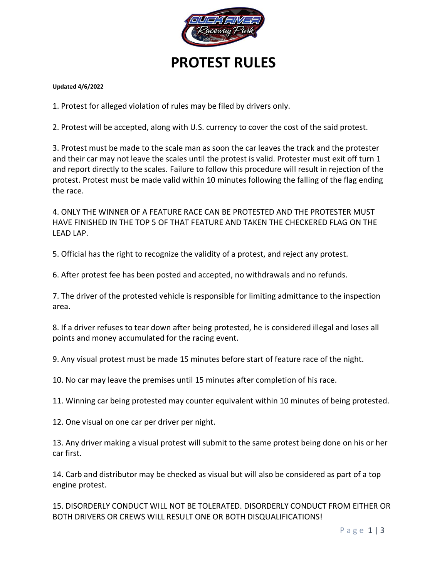

# **PROTEST RULES**

#### **Updated 4/6/2022**

1. Protest for alleged violation of rules may be filed by drivers only.

2. Protest will be accepted, along with U.S. currency to cover the cost of the said protest.

3. Protest must be made to the scale man as soon the car leaves the track and the protester and their car may not leave the scales until the protest is valid. Protester must exit off turn 1 and report directly to the scales. Failure to follow this procedure will result in rejection of the protest. Protest must be made valid within 10 minutes following the falling of the flag ending the race.

4. ONLY THE WINNER OF A FEATURE RACE CAN BE PROTESTED AND THE PROTESTER MUST HAVE FINISHED IN THE TOP 5 OF THAT FEATURE AND TAKEN THE CHECKERED FLAG ON THE LEAD LAP.

5. Official has the right to recognize the validity of a protest, and reject any protest.

6. After protest fee has been posted and accepted, no withdrawals and no refunds.

7. The driver of the protested vehicle is responsible for limiting admittance to the inspection area.

8. If a driver refuses to tear down after being protested, he is considered illegal and loses all points and money accumulated for the racing event.

9. Any visual protest must be made 15 minutes before start of feature race of the night.

10. No car may leave the premises until 15 minutes after completion of his race.

11. Winning car being protested may counter equivalent within 10 minutes of being protested.

12. One visual on one car per driver per night.

13. Any driver making a visual protest will submit to the same protest being done on his or her car first.

14. Carb and distributor may be checked as visual but will also be considered as part of a top engine protest.

15. DISORDERLY CONDUCT WILL NOT BE TOLERATED. DISORDERLY CONDUCT FROM EITHER OR BOTH DRIVERS OR CREWS WILL RESULT ONE OR BOTH DISQUALIFICATIONS!

P a g e 1 | 3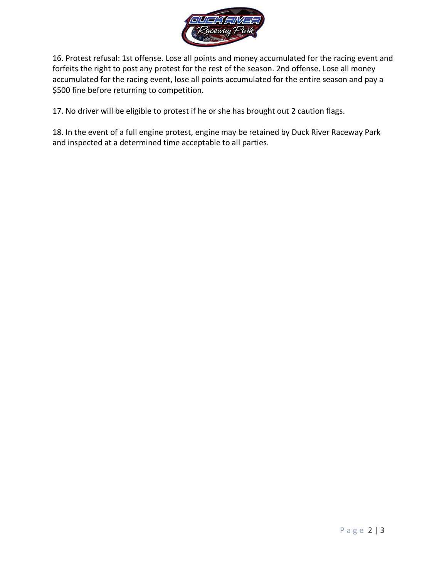

16. Protest refusal: 1st offense. Lose all points and money accumulated for the racing event and forfeits the right to post any protest for the rest of the season. 2nd offense. Lose all money accumulated for the racing event, lose all points accumulated for the entire season and pay a \$500 fine before returning to competition.

17. No driver will be eligible to protest if he or she has brought out 2 caution flags.

18. In the event of a full engine protest, engine may be retained by Duck River Raceway Park and inspected at a determined time acceptable to all parties.